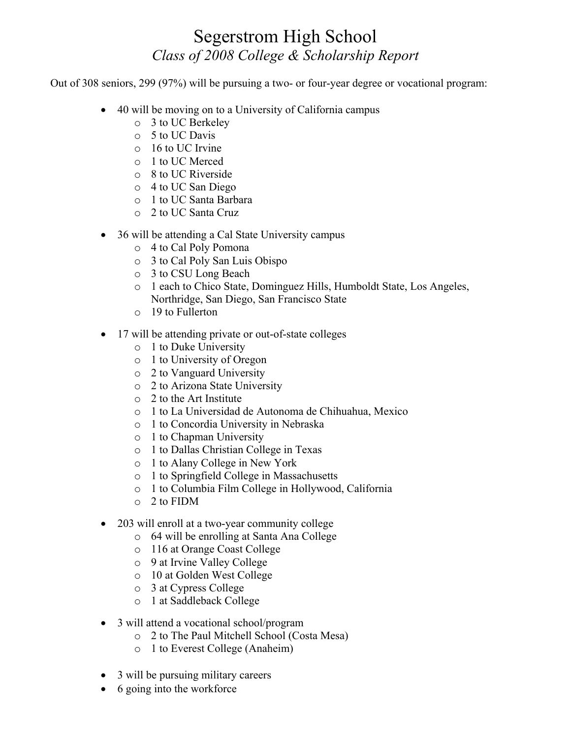## Segerstrom High School *Class of 2008 College & Scholarship Report*

Out of 308 seniors, 299 (97%) will be pursuing a two- or four-year degree or vocational program:

- $\bullet$  40 will be moving on to a University of California campus
	- o 3 to UC Berkeley
	- o 5 to UC Davis
	- o 16 to UC Irvine
	- o 1 to UC Merced
	- o 8 to UC Riverside
	- o 4 to UC San Diego
	- o 1 to UC Santa Barbara
	- o 2 to UC Santa Cruz
- $\bullet$  36 will be attending a Cal State University campus
	- o 4 to Cal Poly Pomona
	- o 3 to Cal Poly San Luis Obispo
	- o 3 to CSU Long Beach
	- o 1 each to Chico State, Dominguez Hills, Humboldt State, Los Angeles, Northridge, San Diego, San Francisco State
	- o 19 to Fullerton
- 17 will be attending private or out-of-state colleges
	- o 1 to Duke University
	- o 1 to University of Oregon
	- o 2 to Vanguard University
	- o 2 to Arizona State University
	- o 2 to the Art Institute
	- o 1 to La Universidad de Autonoma de Chihuahua, Mexico
	- o 1 to Concordia University in Nebraska
	- o 1 to Chapman University
	- o 1 to Dallas Christian College in Texas
	- o 1 to Alany College in New York
	- o 1 to Springfield College in Massachusetts
	- o 1 to Columbia Film College in Hollywood, California
	- o 2 to FIDM
- 203 will enroll at a two-year community college
	- o 64 will be enrolling at Santa Ana College
	- o 116 at Orange Coast College
	- o 9 at Irvine Valley College
	- o 10 at Golden West College
	- o 3 at Cypress College
	- o 1 at Saddleback College
- 3 will attend a vocational school/program
	- o 2 to The Paul Mitchell School (Costa Mesa)
	- o 1 to Everest College (Anaheim)
- $\bullet$  3 will be pursuing military careers
- $\bullet$  6 going into the workforce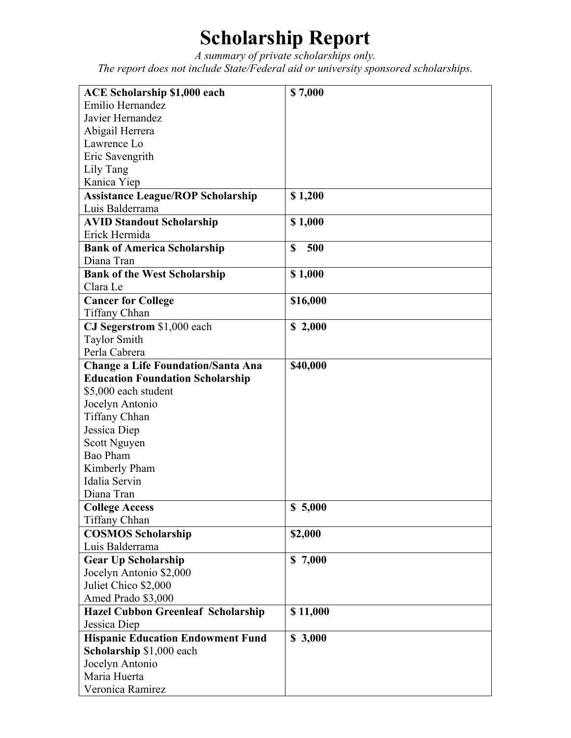## **Scholarship Report**

*A summary of private scholarships only. The report does not include State/Federal aid or university sponsored scholarships.* 

| <b>ACE Scholarship \$1,000 each</b>       | \$7,000            |
|-------------------------------------------|--------------------|
| Emilio Hernandez                          |                    |
| Javier Hernandez                          |                    |
| Abigail Herrera                           |                    |
| Lawrence Lo                               |                    |
| Eric Savengrith                           |                    |
| Lily Tang                                 |                    |
| Kanica Yiep                               |                    |
| <b>Assistance League/ROP Scholarship</b>  | \$1,200            |
| Luis Balderrama                           |                    |
| <b>AVID Standout Scholarship</b>          | \$1,000            |
| Erick Hermida                             |                    |
| <b>Bank of America Scholarship</b>        | $\mathbf S$<br>500 |
| Diana Tran                                |                    |
| <b>Bank of the West Scholarship</b>       | \$1,000            |
| Clara Le                                  |                    |
| <b>Cancer for College</b>                 | \$16,000           |
| Tiffany Chhan                             |                    |
| CJ Segerstrom \$1,000 each                | \$2,000            |
| <b>Taylor Smith</b>                       |                    |
| Perla Cabrera                             |                    |
| <b>Change a Life Foundation/Santa Ana</b> | \$40,000           |
| <b>Education Foundation Scholarship</b>   |                    |
| \$5,000 each student                      |                    |
| Jocelyn Antonio                           |                    |
| <b>Tiffany Chhan</b>                      |                    |
| Jessica Diep                              |                    |
| Scott Nguyen                              |                    |
| Bao Pham                                  |                    |
| Kimberly Pham                             |                    |
| Idalia Servin                             |                    |
| Diana Tran                                |                    |
| <b>College Access</b>                     | \$5,000            |
| <b>Tiffany Chhan</b>                      |                    |
| <b>COSMOS Scholarship</b>                 | \$2,000            |
| Luis Balderrama                           |                    |
| <b>Gear Up Scholarship</b>                | \$7,000            |
| Jocelyn Antonio \$2,000                   |                    |
| Juliet Chico \$2,000                      |                    |
| Amed Prado \$3,000                        |                    |
| Hazel Cubbon Greenleaf Scholarship        | \$11,000           |
| Jessica Diep                              |                    |
| <b>Hispanic Education Endowment Fund</b>  | \$3,000            |
| Scholarship \$1,000 each                  |                    |
| Jocelyn Antonio                           |                    |
| Maria Huerta                              |                    |
| Veronica Ramirez                          |                    |